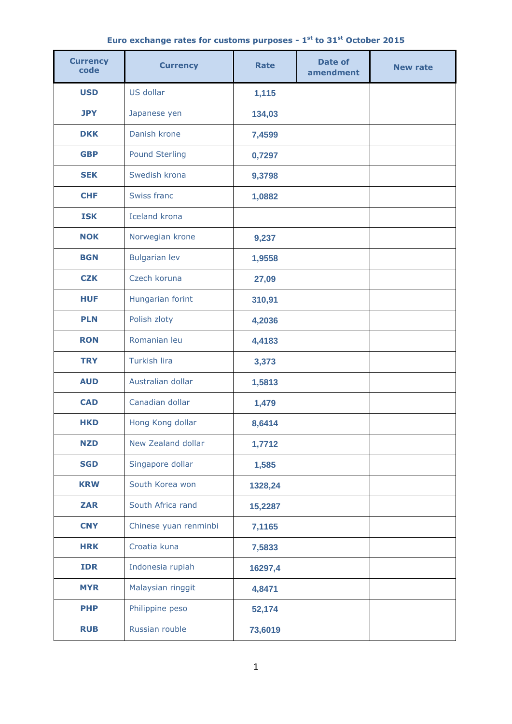## **Euro exchange rates for customs purposes - 1 st to 31 st October 2015**

| <b>Currency</b><br>code | <b>Currency</b>       | <b>Rate</b> | Date of<br>amendment | <b>New rate</b> |
|-------------------------|-----------------------|-------------|----------------------|-----------------|
| <b>USD</b>              | US dollar             | 1,115       |                      |                 |
| <b>JPY</b>              | Japanese yen          | 134,03      |                      |                 |
| <b>DKK</b>              | Danish krone          | 7,4599      |                      |                 |
| <b>GBP</b>              | <b>Pound Sterling</b> | 0,7297      |                      |                 |
| <b>SEK</b>              | Swedish krona         | 9,3798      |                      |                 |
| <b>CHF</b>              | Swiss franc           | 1,0882      |                      |                 |
| <b>ISK</b>              | <b>Iceland krona</b>  |             |                      |                 |
| <b>NOK</b>              | Norwegian krone       | 9,237       |                      |                 |
| <b>BGN</b>              | <b>Bulgarian lev</b>  | 1,9558      |                      |                 |
| <b>CZK</b>              | Czech koruna          | 27,09       |                      |                 |
| <b>HUF</b>              | Hungarian forint      | 310,91      |                      |                 |
| <b>PLN</b>              | Polish zloty          | 4,2036      |                      |                 |
| <b>RON</b>              | Romanian leu          | 4,4183      |                      |                 |
| <b>TRY</b>              | <b>Turkish lira</b>   | 3,373       |                      |                 |
| <b>AUD</b>              | Australian dollar     | 1,5813      |                      |                 |
| <b>CAD</b>              | Canadian dollar       | 1,479       |                      |                 |
| <b>HKD</b>              | Hong Kong dollar      | 8,6414      |                      |                 |
| <b>NZD</b>              | New Zealand dollar    | 1,7712      |                      |                 |
| <b>SGD</b>              | Singapore dollar      | 1,585       |                      |                 |
| <b>KRW</b>              | South Korea won       | 1328,24     |                      |                 |
| <b>ZAR</b>              | South Africa rand     | 15,2287     |                      |                 |
| <b>CNY</b>              | Chinese yuan renminbi | 7,1165      |                      |                 |
| <b>HRK</b>              | Croatia kuna          | 7,5833      |                      |                 |
| <b>IDR</b>              | Indonesia rupiah      | 16297,4     |                      |                 |
| <b>MYR</b>              | Malaysian ringgit     | 4,8471      |                      |                 |
| <b>PHP</b>              | Philippine peso       | 52,174      |                      |                 |
| <b>RUB</b>              | Russian rouble        | 73,6019     |                      |                 |